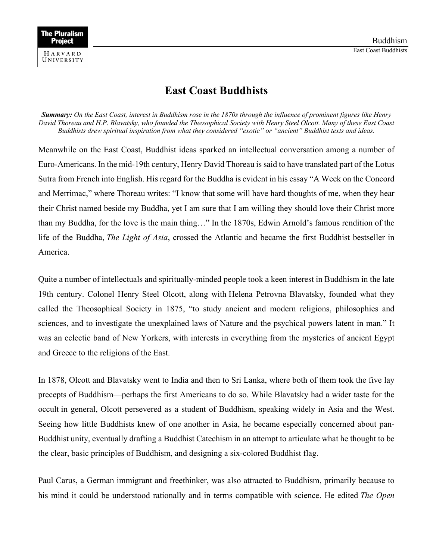## **East Coast Buddhists**

*Summary: On the East Coast, interest in Buddhism rose in the 1870s through the influence of prominent figures like Henry David Thoreau and H.P. Blavatsky, who founded the Theosophical Society with Henry Steel Olcott. Many of these East Coast Buddhists drew spiritual inspiration from what they considered "exotic" or "ancient" Buddhist texts and ideas.*

Meanwhile on the East Coast, Buddhist ideas sparked an intellectual conversation among a number of Euro-Americans. In the mid-19th century, Henry David Thoreau is said to have translated part of the Lotus Sutra from French into English. His regard for the Buddha is evident in his essay "A Week on the Concord and Merrimac," where Thoreau writes: "I know that some will have hard thoughts of me, when they hear their Christ named beside my Buddha, yet I am sure that I am willing they should love their Christ more than my Buddha, for the love is the main thing…" In the 1870s, Edwin Arnold's famous rendition of the life of the Buddha, *The Light of Asia*, crossed the Atlantic and became the first Buddhist bestseller in America.

Quite a number of intellectuals and spiritually-minded people took a keen interest in Buddhism in the late 19th century. Colonel Henry Steel Olcott, along with Helena Petrovna Blavatsky, founded what they called the Theosophical Society in 1875, "to study ancient and modern religions, philosophies and sciences, and to investigate the unexplained laws of Nature and the psychical powers latent in man." It was an eclectic band of New Yorkers, with interests in everything from the mysteries of ancient Egypt and Greece to the religions of the East.

In 1878, Olcott and Blavatsky went to India and then to Sri Lanka, where both of them took the five lay precepts of Buddhism—perhaps the first Americans to do so. While Blavatsky had a wider taste for the occult in general, Olcott persevered as a student of Buddhism, speaking widely in Asia and the West. Seeing how little Buddhists knew of one another in Asia, he became especially concerned about pan-Buddhist unity, eventually drafting a Buddhist Catechism in an attempt to articulate what he thought to be the clear, basic principles of Buddhism, and designing a six-colored Buddhist flag.

Paul Carus, a German immigrant and freethinker, was also attracted to Buddhism, primarily because to his mind it could be understood rationally and in terms compatible with science. He edited *The Open*